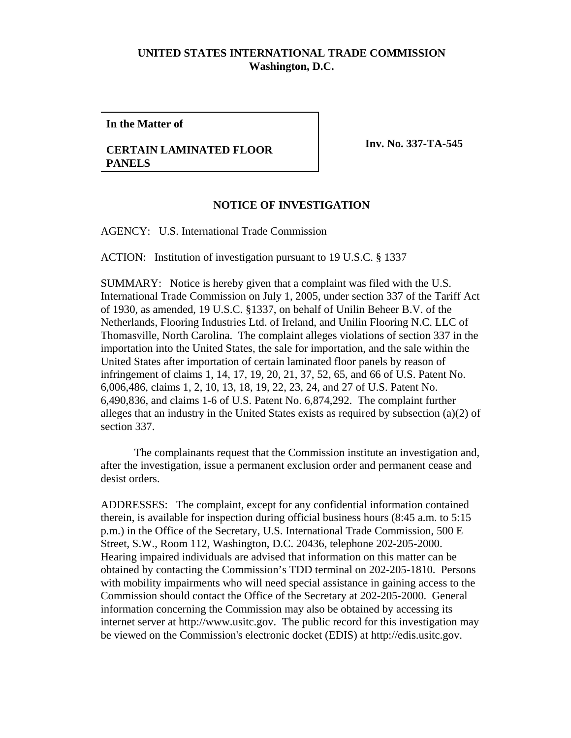## **UNITED STATES INTERNATIONAL TRADE COMMISSION Washington, D.C.**

**In the Matter of**

## **CERTAIN LAMINATED FLOOR PANELS**

**Inv. No. 337-TA-545** 

## **NOTICE OF INVESTIGATION**

AGENCY: U.S. International Trade Commission

ACTION: Institution of investigation pursuant to 19 U.S.C. § 1337

SUMMARY: Notice is hereby given that a complaint was filed with the U.S. International Trade Commission on July 1, 2005, under section 337 of the Tariff Act of 1930, as amended, 19 U.S.C. §1337, on behalf of Unilin Beheer B.V. of the Netherlands, Flooring Industries Ltd. of Ireland, and Unilin Flooring N.C. LLC of Thomasville, North Carolina. The complaint alleges violations of section 337 in the importation into the United States, the sale for importation, and the sale within the United States after importation of certain laminated floor panels by reason of infringement of claims 1, 14, 17, 19, 20, 21, 37, 52, 65, and 66 of U.S. Patent No. 6,006,486, claims 1, 2, 10, 13, 18, 19, 22, 23, 24, and 27 of U.S. Patent No. 6,490,836, and claims 1-6 of U.S. Patent No. 6,874,292. The complaint further alleges that an industry in the United States exists as required by subsection  $(a)(2)$  of section 337.

The complainants request that the Commission institute an investigation and, after the investigation, issue a permanent exclusion order and permanent cease and desist orders.

ADDRESSES: The complaint, except for any confidential information contained therein, is available for inspection during official business hours (8:45 a.m. to 5:15 p.m.) in the Office of the Secretary, U.S. International Trade Commission, 500 E Street, S.W., Room 112, Washington, D.C. 20436, telephone 202-205-2000. Hearing impaired individuals are advised that information on this matter can be obtained by contacting the Commission's TDD terminal on 202-205-1810. Persons with mobility impairments who will need special assistance in gaining access to the Commission should contact the Office of the Secretary at 202-205-2000. General information concerning the Commission may also be obtained by accessing its internet server at http://www.usitc.gov. The public record for this investigation may be viewed on the Commission's electronic docket (EDIS) at http://edis.usitc.gov.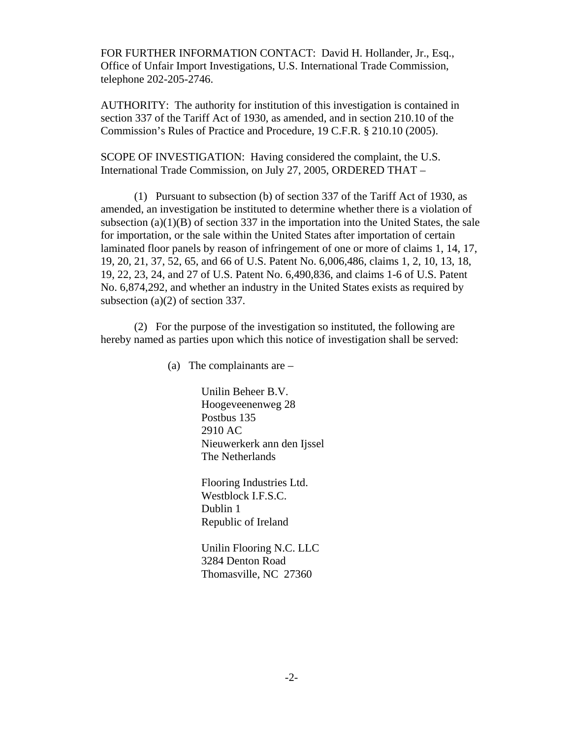FOR FURTHER INFORMATION CONTACT: David H. Hollander, Jr., Esq., Office of Unfair Import Investigations, U.S. International Trade Commission, telephone 202-205-2746.

AUTHORITY: The authority for institution of this investigation is contained in section 337 of the Tariff Act of 1930, as amended, and in section 210.10 of the Commission's Rules of Practice and Procedure, 19 C.F.R. § 210.10 (2005).

SCOPE OF INVESTIGATION: Having considered the complaint, the U.S. International Trade Commission, on July 27, 2005, ORDERED THAT –

(1) Pursuant to subsection (b) of section 337 of the Tariff Act of 1930, as amended, an investigation be instituted to determine whether there is a violation of subsection (a)(1)(B) of section 337 in the importation into the United States, the sale for importation, or the sale within the United States after importation of certain laminated floor panels by reason of infringement of one or more of claims 1, 14, 17, 19, 20, 21, 37, 52, 65, and 66 of U.S. Patent No. 6,006,486, claims 1, 2, 10, 13, 18, 19, 22, 23, 24, and 27 of U.S. Patent No. 6,490,836, and claims 1-6 of U.S. Patent No. 6,874,292, and whether an industry in the United States exists as required by subsection (a)(2) of section 337.

(2) For the purpose of the investigation so instituted, the following are hereby named as parties upon which this notice of investigation shall be served:

(a) The complainants are –

Unilin Beheer B.V. Hoogeveenenweg 28 Postbus 135 2910 AC Nieuwerkerk ann den Ijssel The Netherlands

Flooring Industries Ltd. Westblock I.F.S.C. Dublin 1 Republic of Ireland

Unilin Flooring N.C. LLC 3284 Denton Road Thomasville, NC 27360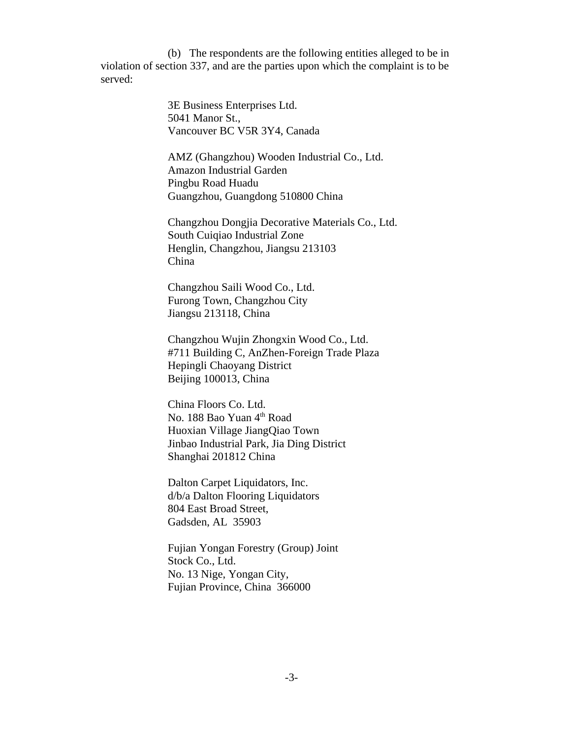(b) The respondents are the following entities alleged to be in violation of section 337, and are the parties upon which the complaint is to be served:

> 3E Business Enterprises Ltd. 5041 Manor St., Vancouver BC V5R 3Y4, Canada

AMZ (Ghangzhou) Wooden Industrial Co., Ltd. Amazon Industrial Garden Pingbu Road Huadu Guangzhou, Guangdong 510800 China

Changzhou Dongjia Decorative Materials Co., Ltd. South Cuiqiao Industrial Zone Henglin, Changzhou, Jiangsu 213103 China

Changzhou Saili Wood Co., Ltd. Furong Town, Changzhou City Jiangsu 213118, China

Changzhou Wujin Zhongxin Wood Co., Ltd. #711 Building C, AnZhen-Foreign Trade Plaza Hepingli Chaoyang District Beijing 100013, China

China Floors Co. Ltd. No. 188 Bao Yuan 4<sup>th</sup> Road Huoxian Village JiangQiao Town Jinbao Industrial Park, Jia Ding District Shanghai 201812 China

Dalton Carpet Liquidators, Inc. d/b/a Dalton Flooring Liquidators 804 East Broad Street, Gadsden, AL 35903

Fujian Yongan Forestry (Group) Joint Stock Co., Ltd. No. 13 Nige, Yongan City, Fujian Province, China 366000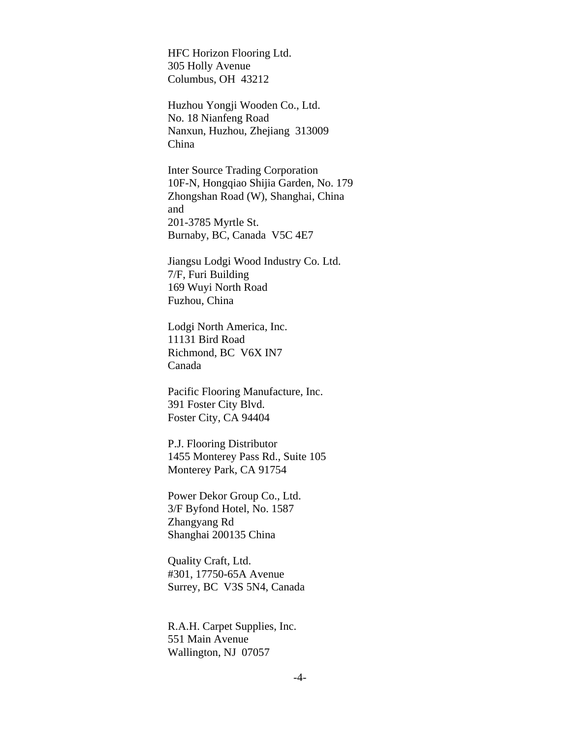HFC Horizon Flooring Ltd. 305 Holly Avenue Columbus, OH 43212

Huzhou Yongji Wooden Co., Ltd. No. 18 Nianfeng Road Nanxun, Huzhou, Zhejiang 313009 China

Inter Source Trading Corporation 10F-N, Hongqiao Shijia Garden, No. 179 Zhongshan Road (W), Shanghai, China and 201-3785 Myrtle St. Burnaby, BC, Canada V5C 4E7

Jiangsu Lodgi Wood Industry Co. Ltd. 7/F, Furi Building 169 Wuyi North Road Fuzhou, China

Lodgi North America, Inc. 11131 Bird Road Richmond, BC V6X IN7 Canada

Pacific Flooring Manufacture, Inc. 391 Foster City Blvd. Foster City, CA 94404

P.J. Flooring Distributor 1455 Monterey Pass Rd., Suite 105 Monterey Park, CA 91754

Power Dekor Group Co., Ltd. 3/F Byfond Hotel, No. 1587 Zhangyang Rd Shanghai 200135 China

Quality Craft, Ltd. #301, 17750-65A Avenue Surrey, BC V3S 5N4, Canada

R.A.H. Carpet Supplies, Inc. 551 Main Avenue Wallington, NJ 07057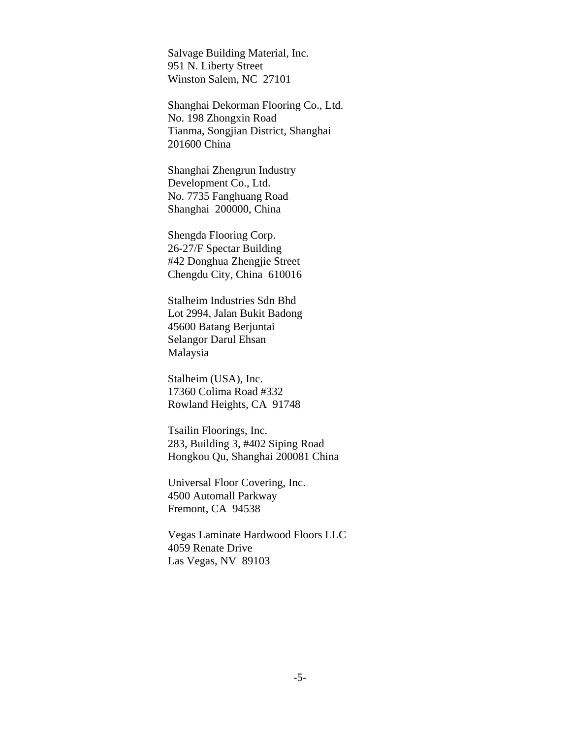Salvage Building Material, Inc. 951 N. Liberty Street Winston Salem, NC 27101

Shanghai Dekorman Flooring Co., Ltd. No. 198 Zhongxin Road Tianma, Songjian District, Shanghai 201600 China

Shanghai Zhengrun Industry Development Co., Ltd. No. 7735 Fanghuang Road Shanghai 200000, China

Shengda Flooring Corp. 26-27/F Spectar Building #42 Donghua Zhengjie Street Chengdu City, China 610016

Stalheim Industries Sdn Bhd Lot 2994, Jalan Bukit Badong 45600 Batang Berjuntai Selangor Darul Ehsan Malaysia

Stalheim (USA), Inc. 17360 Colima Road #332 Rowland Heights, CA 91748

Tsailin Floorings, Inc. 283, Building 3, #402 Siping Road Hongkou Qu, Shanghai 200081 China

Universal Floor Covering, Inc. 4500 Automall Parkway Fremont, CA 94538

Vegas Laminate Hardwood Floors LLC 4059 Renate Drive Las Vegas, NV 89103